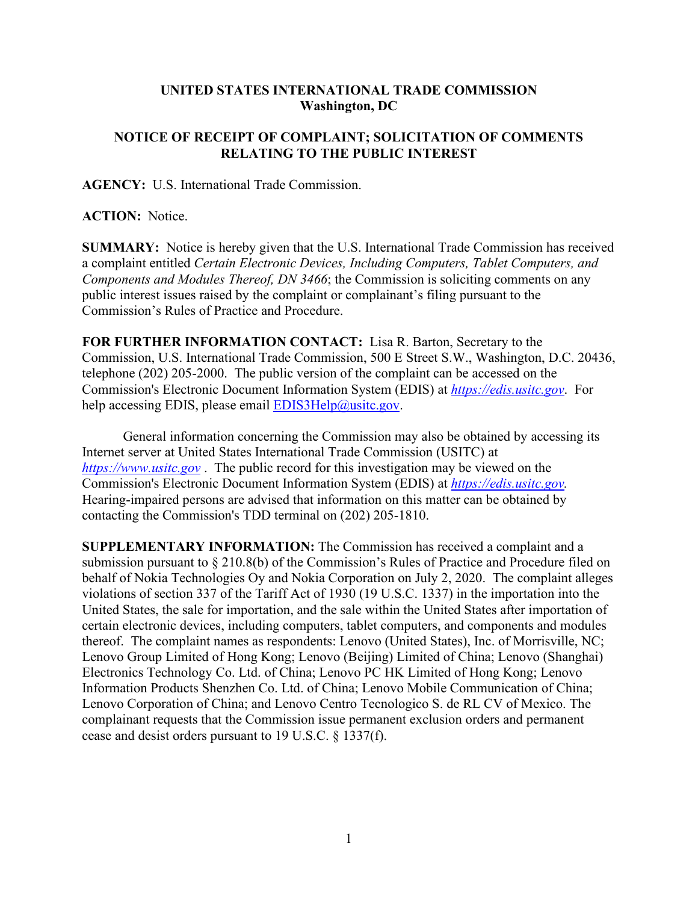## **UNITED STATES INTERNATIONAL TRADE COMMISSION Washington, DC**

## **NOTICE OF RECEIPT OF COMPLAINT; SOLICITATION OF COMMENTS RELATING TO THE PUBLIC INTEREST**

**AGENCY:** U.S. International Trade Commission.

**ACTION:** Notice.

**SUMMARY:** Notice is hereby given that the U.S. International Trade Commission has received a complaint entitled *Certain Electronic Devices, Including Computers, Tablet Computers, and Components and Modules Thereof, DN 3466*; the Commission is soliciting comments on any public interest issues raised by the complaint or complainant's filing pursuant to the Commission's Rules of Practice and Procedure.

**FOR FURTHER INFORMATION CONTACT:** Lisa R. Barton, Secretary to the Commission, U.S. International Trade Commission, 500 E Street S.W., Washington, D.C. 20436, telephone (202) 205-2000. The public version of the complaint can be accessed on the Commission's Electronic Document Information System (EDIS) at *[https://edis.usitc.gov](https://edis.usitc.gov/)*. For help accessing EDIS, please email  $EDIS3Help@usite.gov$ .

General information concerning the Commission may also be obtained by accessing its Internet server at United States International Trade Commission (USITC) at *[https://www.usitc.gov](https://www.usitc.gov/)* . The public record for this investigation may be viewed on the Commission's Electronic Document Information System (EDIS) at *[https://edis.usitc.gov.](https://edis.usitc.gov/)* Hearing-impaired persons are advised that information on this matter can be obtained by contacting the Commission's TDD terminal on (202) 205-1810.

**SUPPLEMENTARY INFORMATION:** The Commission has received a complaint and a submission pursuant to § 210.8(b) of the Commission's Rules of Practice and Procedure filed on behalf of Nokia Technologies Oy and Nokia Corporation on July 2, 2020. The complaint alleges violations of section 337 of the Tariff Act of 1930 (19 U.S.C. 1337) in the importation into the United States, the sale for importation, and the sale within the United States after importation of certain electronic devices, including computers, tablet computers, and components and modules thereof. The complaint names as respondents: Lenovo (United States), Inc. of Morrisville, NC; Lenovo Group Limited of Hong Kong; Lenovo (Beijing) Limited of China; Lenovo (Shanghai) Electronics Technology Co. Ltd. of China; Lenovo PC HK Limited of Hong Kong; Lenovo Information Products Shenzhen Co. Ltd. of China; Lenovo Mobile Communication of China; Lenovo Corporation of China; and Lenovo Centro Tecnologico S. de RL CV of Mexico. The complainant requests that the Commission issue permanent exclusion orders and permanent cease and desist orders pursuant to 19 U.S.C. § 1337(f).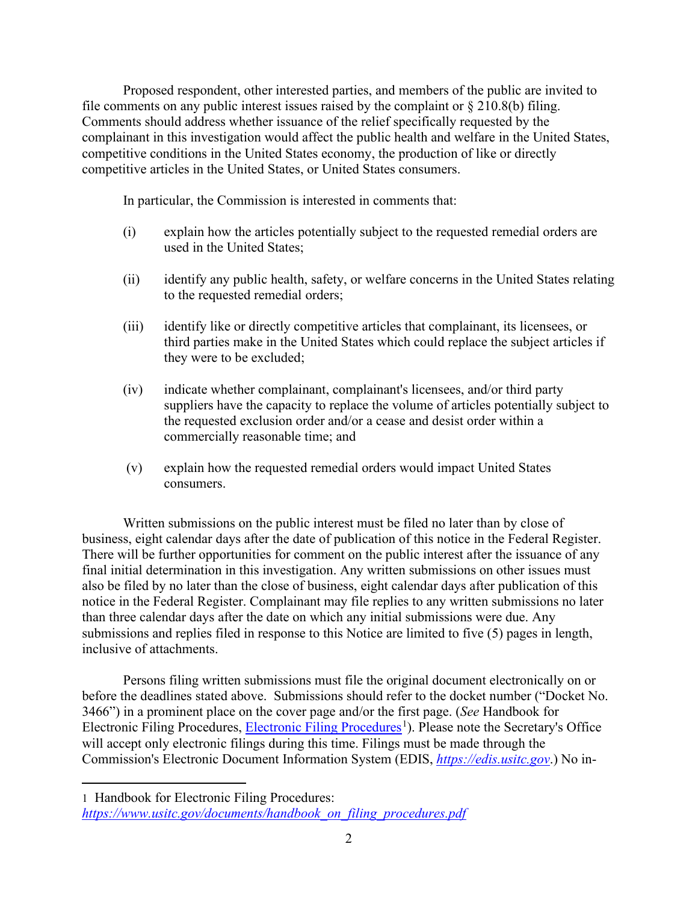Proposed respondent, other interested parties, and members of the public are invited to file comments on any public interest issues raised by the complaint or  $\S 210.8(b)$  filing. Comments should address whether issuance of the relief specifically requested by the complainant in this investigation would affect the public health and welfare in the United States, competitive conditions in the United States economy, the production of like or directly competitive articles in the United States, or United States consumers.

In particular, the Commission is interested in comments that:

- (i) explain how the articles potentially subject to the requested remedial orders are used in the United States;
- (ii) identify any public health, safety, or welfare concerns in the United States relating to the requested remedial orders;
- (iii) identify like or directly competitive articles that complainant, its licensees, or third parties make in the United States which could replace the subject articles if they were to be excluded;
- (iv) indicate whether complainant, complainant's licensees, and/or third party suppliers have the capacity to replace the volume of articles potentially subject to the requested exclusion order and/or a cease and desist order within a commercially reasonable time; and
- (v) explain how the requested remedial orders would impact United States consumers.

Written submissions on the public interest must be filed no later than by close of business, eight calendar days after the date of publication of this notice in the Federal Register. There will be further opportunities for comment on the public interest after the issuance of any final initial determination in this investigation. Any written submissions on other issues must also be filed by no later than the close of business, eight calendar days after publication of this notice in the Federal Register. Complainant may file replies to any written submissions no later than three calendar days after the date on which any initial submissions were due. Any submissions and replies filed in response to this Notice are limited to five (5) pages in length, inclusive of attachments.

Persons filing written submissions must file the original document electronically on or before the deadlines stated above. Submissions should refer to the docket number ("Docket No. 3466") in a prominent place on the cover page and/or the first page. (*See* Handbook for Electronic Filing Procedures, [Electronic Filing Procedures](https://www.usitc.gov/documents/handbook_on_filing_procedures.pdf)<sup>[1](#page-1-0)</sup>). Please note the Secretary's Office will accept only electronic filings during this time. Filings must be made through the Commission's Electronic Document Information System (EDIS, *[https://edis.usitc.gov](https://edis.usitc.gov/)*.) No in-

<span id="page-1-0"></span><sup>1</sup> Handbook for Electronic Filing Procedures: *[https://www.usitc.gov/documents/handbook\\_on\\_filing\\_procedures.pdf](https://www.usitc.gov/documents/handbook_on_filing_procedures.pdf)*